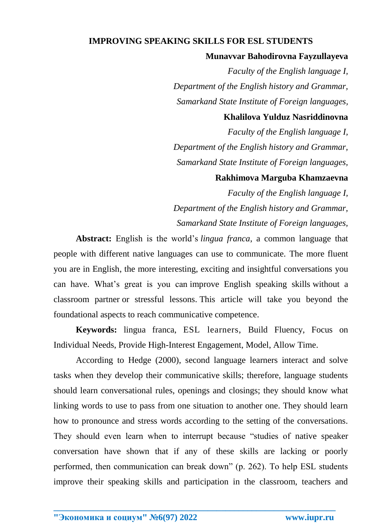# **IMPROVING SPEAKING SKILLS FOR ESL STUDENTS**

#### **Munavvar Bahodirovna Fayzullayeva**

*Faculty of the English language I, Department of the English history and Grammar, Samarkand State Institute of Foreign languages,*

# **Khalilova Yulduz Nasriddinovna**

*Faculty of the English language I, Department of the English history and Grammar, Samarkand State Institute of Foreign languages,*

# **Rakhimova Marguba Khamzaevna**

*Faculty of the English language I, Department of the English history and Grammar, Samarkand State Institute of Foreign languages,*

**Abstract:** English is the world's *lingua franca*, a common language that people with different native languages can use to communicate. [The more fluent](https://www.fluentu.com/english/blog/learn-advanced-english/)  [you are in English,](https://www.fluentu.com/english/blog/learn-advanced-english/) the more interesting, exciting and insightful conversations you can have. What's great is you can [improve English speaking skills](https://www.fluentu.com/english/blog/simple-english-conversation-practice-online) without a [classroom partner](https://www.fluentu.com/english/blog/simple-english-conversation-practice-online) or stressful lessons. This article will take you beyond the foundational aspects to [reach communicative competence.](https://www.fluentu.com/blog/english/how-to-improve-spoken-english/)

**Keywords:** lingua franca, ESL learners, Build Fluency, Focus on Individual Needs, Provide High-Interest Engagement, Model, Allow Time.

According to Hedge (2000), second language learners interact and solve tasks when they develop their communicative skills; therefore, language students should learn conversational rules, openings and closings; they should know what linking words to use to pass from one situation to another one. They should learn how to pronounce and stress words according to the setting of the conversations. They should even learn when to interrupt because "studies of native speaker conversation have shown that if any of these skills are lacking or poorly performed, then communication can break down" (p. 262). To help ESL students improve their speaking skills and participation in the classroom, teachers and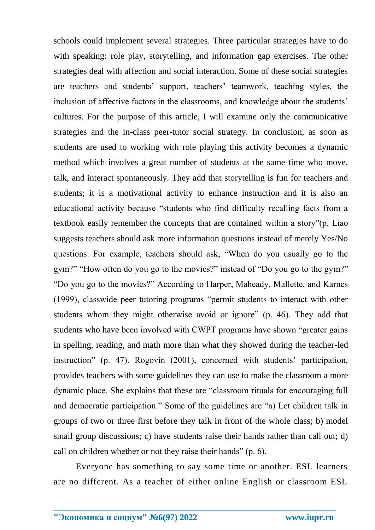schools could implement several strategies. Three particular strategies have to do with speaking: role play, storytelling, and information gap exercises. The other strategies deal with affection and social interaction. Some of these social strategies are teachers and students' support, teachers' teamwork, teaching styles, the inclusion of affective factors in the classrooms, and knowledge about the students' cultures. For the purpose of this article, I will examine only the communicative strategies and the in-class peer-tutor social strategy. In conclusion, as soon as students are used to working with role playing this activity becomes a dynamic method which involves a great number of students at the same time who move, talk, and interact spontaneously. They add that storytelling is fun for teachers and students; it is a motivational activity to enhance instruction and it is also an educational activity because "students who find difficulty recalling facts from a textbook easily remember the concepts that are contained within a story"(p. Liao suggests teachers should ask more information questions instead of merely Yes/No questions. For example, teachers should ask, "When do you usually go to the gym?" "How often do you go to the movies?" instead of "Do you go to the gym?" "Do you go to the movies?" According to Harper, Maheady, Mallette, and Karnes (1999), classwide peer tutoring programs "permit students to interact with other students whom they might otherwise avoid or ignore" (p. 46). They add that students who have been involved with CWPT programs have shown "greater gains in spelling, reading, and math more than what they showed during the teacher-led instruction" (p. 47). Rogovin (2001), concerned with students' participation, provides teachers with some guidelines they can use to make the classroom a more dynamic place. She explains that these are "classroom rituals for encouraging full and democratic participation." Some of the guidelines are "a) Let children talk in groups of two or three first before they talk in front of the whole class; b) model small group discussions; c) have students raise their hands rather than call out; d) call on children whether or not they raise their hands" (p. 6).

Everyone has something to say some time or another. ESL learners are no different. As a teacher of either online English or classroom ESL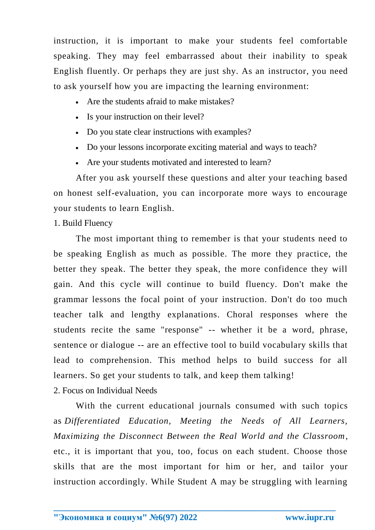instruction, it is important to make your students feel comfortable speaking. They may feel embarrassed about their inability to speak English fluently. Or perhaps they are just shy. As an instructor, you need to ask yourself how you are impacting the learning environment:

- Are the students afraid to make mistakes?
- Is your instruction on their level?
- Do you state clear instructions with examples?
- Do your lessons incorporate exciting material and ways to teach?
- Are your students motivated and interested to learn?

After you ask yourself these questions and alter your teaching based on honest self-evaluation, you can incorporate more ways to encourage your students to learn English.

1. Build Fluency

The most important thing to remember is that your students need to be speaking English as much as possible. The more they practice, the better they speak. The better they speak, the more confidence they will gain. And this cycle will continue to build fluency. Don't make the grammar lessons the focal point of your instruction. Don't do too much teacher talk and lengthy explanations. Choral responses where the students recite the same "response" -- whether it be a word, phrase, sentence or dialogue -- are an effective tool to build vocabulary skills that lead to comprehension. This method helps to build success for all learners. So get your students to talk, and keep them talking!

2. Focus on Individual Needs

With the current educational journals consumed with such topics as *Differentiated Education, Meeting the Needs of All Learners, Maximizing the Disconnect Between the Real World and the Classroom*, etc., it is important that you, too, focus on each student. Choose those skills that are the most important for him or her, and tailor your instruction accordingly. While Student A may be struggling with learning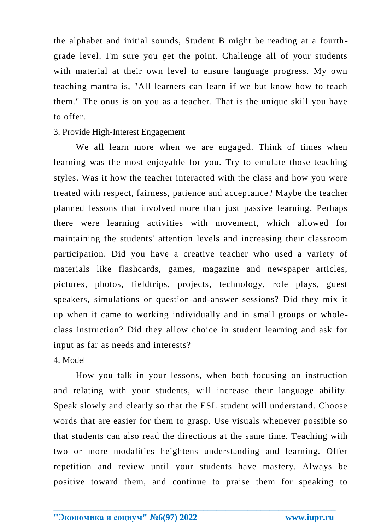the alphabet and initial sounds, Student B might be reading at a fourth grade level. I'm sure you get the point. Challenge all of your students with material at their own level to ensure language progress. My own teaching mantra is, "All learners can learn if we but know how to teach them." The onus is on you as a teacher. That is the unique skill you have to offer.

# 3. Provide High-Interest Engagement

We all learn more when we are engaged. Think of times when learning was the most enjoyable for you. Try to emulate those teaching styles. Was it how the teacher interacted with the class and how you were treated with respect, fairness, patience and acceptance? Maybe the teacher planned lessons that involved more than just passive learning. Perhaps there were learning activities with movement, which allowed for maintaining the students' attention levels and increasing their classroom participation. Did you have a creative teacher who used a variety of materials like flashcards, games, magazine and newspaper articles, pictures, photos, fieldtrips, projects, technology, role plays, guest speakers, simulations or question-and-answer sessions? Did they mix it up when it came to working individually and in small groups or wholeclass instruction? Did they allow choice in student learning and ask for input as far as needs and interests?

## 4. Model

How you talk in your lessons, when both focusing on instruction and relating with your students, will increase their language ability. Speak slowly and clearly so that the ESL student will understand. Choose words that are easier for them to grasp. Use visuals whenever possible so that students can also read the directions at the same time. Teaching with two or more modalities heightens understanding and learning. Offer repetition and review until your students have mastery. Always be positive toward them, and continue to praise them for speaking to